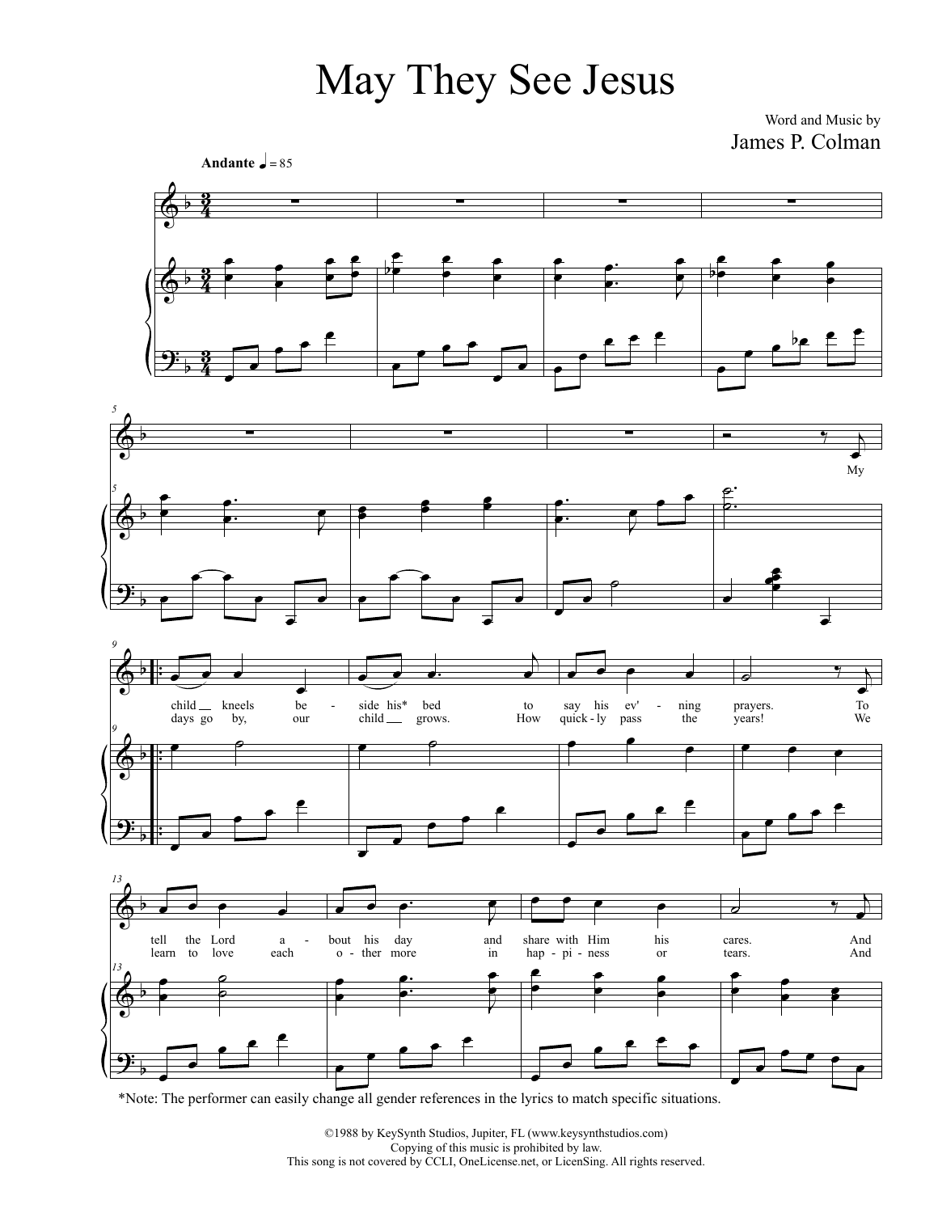## May They See Jesus

Word and Music by James P. Colman



<sup>\*</sup>Note: The performer can easily change all gender references in the lyrics to match specific situations.